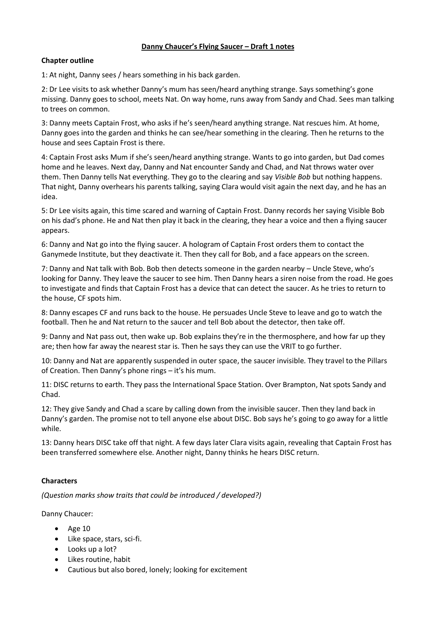# **Danny Chaucer's Flying Saucer – Draft 1 notes**

# **Chapter outline**

1: At night, Danny sees / hears something in his back garden.

2: Dr Lee visits to ask whether Danny's mum has seen/heard anything strange. Says something's gone missing. Danny goes to school, meets Nat. On way home, runs away from Sandy and Chad. Sees man talking to trees on common.

3: Danny meets Captain Frost, who asks if he's seen/heard anything strange. Nat rescues him. At home, Danny goes into the garden and thinks he can see/hear something in the clearing. Then he returns to the house and sees Captain Frost is there.

4: Captain Frost asks Mum if she's seen/heard anything strange. Wants to go into garden, but Dad comes home and he leaves. Next day, Danny and Nat encounter Sandy and Chad, and Nat throws water over them. Then Danny tells Nat everything. They go to the clearing and say *Visible Bob* but nothing happens. That night, Danny overhears his parents talking, saying Clara would visit again the next day, and he has an idea.

5: Dr Lee visits again, this time scared and warning of Captain Frost. Danny records her saying Visible Bob on his dad's phone. He and Nat then play it back in the clearing, they hear a voice and then a flying saucer appears.

6: Danny and Nat go into the flying saucer. A hologram of Captain Frost orders them to contact the Ganymede Institute, but they deactivate it. Then they call for Bob, and a face appears on the screen.

7: Danny and Nat talk with Bob. Bob then detects someone in the garden nearby – Uncle Steve, who's looking for Danny. They leave the saucer to see him. Then Danny hears a siren noise from the road. He goes to investigate and finds that Captain Frost has a device that can detect the saucer. As he tries to return to the house, CF spots him.

8: Danny escapes CF and runs back to the house. He persuades Uncle Steve to leave and go to watch the football. Then he and Nat return to the saucer and tell Bob about the detector, then take off.

9: Danny and Nat pass out, then wake up. Bob explains they're in the thermosphere, and how far up they are; then how far away the nearest star is. Then he says they can use the VRIT to go further.

10: Danny and Nat are apparently suspended in outer space, the saucer invisible. They travel to the Pillars of Creation. Then Danny's phone rings – it's his mum.

11: DISC returns to earth. They pass the International Space Station. Over Brampton, Nat spots Sandy and Chad.

12: They give Sandy and Chad a scare by calling down from the invisible saucer. Then they land back in Danny's garden. The promise not to tell anyone else about DISC. Bob says he's going to go away for a little while.

13: Danny hears DISC take off that night. A few days later Clara visits again, revealing that Captain Frost has been transferred somewhere else. Another night, Danny thinks he hears DISC return.

# **Characters**

*(Question marks show traits that could be introduced / developed?)*

Danny Chaucer:

- $\bullet$  Age 10
- Like space, stars, sci-fi.
- Looks up a lot?
- Likes routine, habit
- Cautious but also bored, lonely; looking for excitement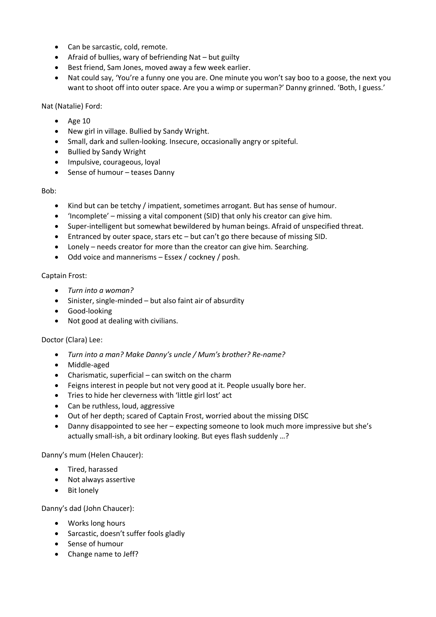- Can be sarcastic, cold, remote.
- Afraid of bullies, wary of befriending Nat but guilty
- Best friend, Sam Jones, moved away a few week earlier.
- Nat could say, 'You're a funny one you are. One minute you won't say boo to a goose, the next you want to shoot off into outer space. Are you a wimp or superman?' Danny grinned. 'Both, I guess.'

Nat (Natalie) Ford:

- $\bullet$  Age 10
- New girl in village. Bullied by Sandy Wright.
- Small, dark and sullen-looking. Insecure, occasionally angry or spiteful.
- Bullied by Sandy Wright
- Impulsive, courageous, loyal
- Sense of humour teases Danny

Bob:

- Kind but can be tetchy / impatient, sometimes arrogant. But has sense of humour.
- 'Incomplete' missing a vital component (SID) that only his creator can give him.
- Super-intelligent but somewhat bewildered by human beings. Afraid of unspecified threat.
- Entranced by outer space, stars etc but can't go there because of missing SID.
- Lonely needs creator for more than the creator can give him. Searching.
- Odd voice and mannerisms Essex / cockney / posh.

# Captain Frost:

- *Turn into a woman?*
- Sinister, single-minded but also faint air of absurdity
- Good-looking
- Not good at dealing with civilians.

# Doctor (Clara) Lee:

- *Turn into a man? Make Danny's uncle / Mum's brother? Re-name?*
- Middle-aged
- Charismatic, superficial can switch on the charm
- Feigns interest in people but not very good at it. People usually bore her.
- Tries to hide her cleverness with 'little girl lost' act
- Can be ruthless, loud, aggressive
- Out of her depth; scared of Captain Frost, worried about the missing DISC
- Danny disappointed to see her expecting someone to look much more impressive but she's actually small-ish, a bit ordinary looking. But eyes flash suddenly …?

# Danny's mum (Helen Chaucer):

- Tired, harassed
- Not always assertive
- Bit lonely

Danny's dad (John Chaucer):

- Works long hours
- Sarcastic, doesn't suffer fools gladly
- Sense of humour
- Change name to Jeff?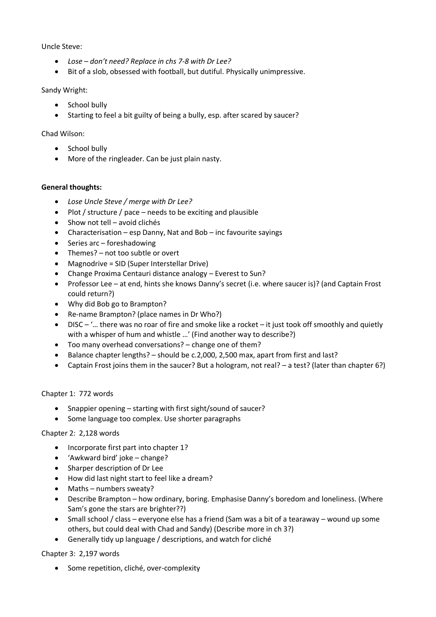Uncle Steve:

- *Lose – don't need? Replace in chs 7-8 with Dr Lee?*
- Bit of a slob, obsessed with football, but dutiful. Physically unimpressive.

### Sandy Wright:

- School bully
- Starting to feel a bit guilty of being a bully, esp. after scared by saucer?

### Chad Wilson:

- School bully
- More of the ringleader. Can be just plain nasty.

#### **General thoughts:**

- *Lose Uncle Steve / merge with Dr Lee?*
- $\bullet$  Plot / structure / pace needs to be exciting and plausible
- Show not tell avoid clichés
- Characterisation esp Danny, Nat and Bob inc favourite sayings
- $\bullet$  Series arc foreshadowing
- Themes? not too subtle or overt
- Magnodrive = SID (Super Interstellar Drive)
- Change Proxima Centauri distance analogy Everest to Sun?
- Professor Lee at end, hints she knows Danny's secret (i.e. where saucer is)? (and Captain Frost could return?)
- Why did Bob go to Brampton?
- Re-name Brampton? (place names in Dr Who?)
- DISC '… there was no roar of fire and smoke like a rocket it just took off smoothly and quietly with a whisper of hum and whistle ...' (Find another way to describe?)
- Too many overhead conversations? change one of them?
- Balance chapter lengths? should be c.2,000, 2,500 max, apart from first and last?
- Captain Frost joins them in the saucer? But a hologram, not real? a test? (later than chapter 6?)

# Chapter 1: 772 words

- Snappier opening starting with first sight/sound of saucer?
- Some language too complex. Use shorter paragraphs

# Chapter 2: 2,128 words

- Incorporate first part into chapter 1?
- 'Awkward bird' joke change?
- Sharper description of Dr Lee
- How did last night start to feel like a dream?
- Maths numbers sweaty?
- Describe Brampton how ordinary, boring. Emphasise Danny's boredom and loneliness. (Where Sam's gone the stars are brighter??)
- Small school / class everyone else has a friend (Sam was a bit of a tearaway wound up some others, but could deal with Chad and Sandy) (Describe more in ch 3?)
- Generally tidy up language / descriptions, and watch for cliché

# Chapter 3: 2,197 words

• Some repetition, cliché, over-complexity